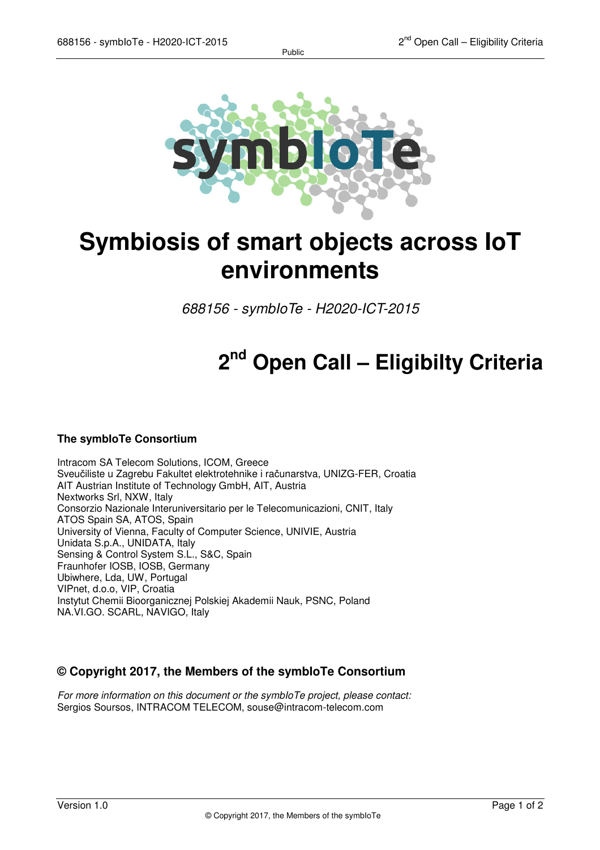Public



## **Symbiosis of smart objects across IoT environments**

688156 - symbIoTe - H2020-ICT-2015

# **2 nd Open Call – Eligibilty Criteria**

#### **The symbIoTe Consortium**

Intracom SA Telecom Solutions, ICOM, Greece Sveučiliste u Zagrebu Fakultet elektrotehnike i računarstva, UNIZG-FER, Croatia AIT Austrian Institute of Technology GmbH, AIT, Austria Nextworks Srl, NXW, Italy Consorzio Nazionale Interuniversitario per le Telecomunicazioni, CNIT, Italy ATOS Spain SA, ATOS, Spain University of Vienna, Faculty of Computer Science, UNIVIE, Austria Unidata S.p.A., UNIDATA, Italy Sensing & Control System S.L., S&C, Spain Fraunhofer IOSB, IOSB, Germany Ubiwhere, Lda, UW, Portugal VIPnet, d.o.o, VIP, Croatia Instytut Chemii Bioorganicznej Polskiej Akademii Nauk, PSNC, Poland NA.VI.GO. SCARL, NAVIGO, Italy

### **© Copyright 2017, the Members of the symbIoTe Consortium**

For more information on this document or the symbloTe project, please contact: Sergios Soursos, INTRACOM TELECOM, souse@intracom-telecom.com